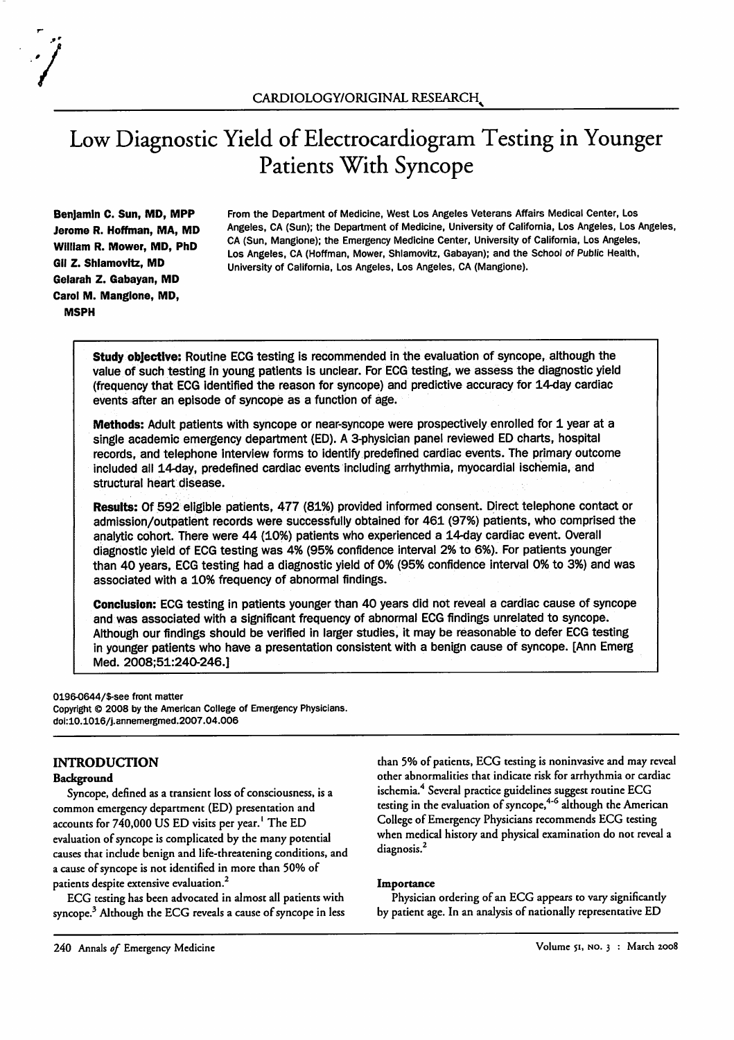

# Low Diagnostic Yield of Electrocardiogram Testing in Younger Patients With Syncope

*Benjamin C. Sun, MD, MPP Jerome R. Hoffman, MA, MD William R. Mower, MD, PhD Gil Z. Shlamovitz, MD Gelarah Z. Gabayan, MD Carol M. Mangione, MD, MSPH*

From the Department of Medicine, West Los Angeles Veterans Affairs Medical Center, Los Angeles, CA(Sun); the Department of Medicine, University of California, Los Angeles, Los Angeles, CA(Sun, Mangione); the Emergency Medicine Center, University of California, Los Angeles, Los Angeles, CA (Hoffman, Mower, Shlamovitz, Gabayan); and the School **of** Public Health, University of California, Los Angeles, Los Angeles, CA (Mangione).

**Study objective:** Routine ECG testing is recommended in the evaluation of syncope, although the value of such testing in young patients is unclear. For ECG testing, we assess the diagnostic yield (frequency that ECG identified the reason for syncope) and predictive accuracy for 14-day cardiac events after an episode of syncope as a function of age.

*Methods:* Adult patients with syncope or near-syncope were prospectively enrolled for 1 year at a single academic emergency department (ED). A 3-physician panel reviewed ED charts, hospital records, and telephone interview forms to identify predefined cardiac events. The primary outcome included all 14-day, predefined cardiac events including arrhythmia, myocardial ischemia, and structural heart disease.

*Results:* Of 592 eligible patients, 477 (81%) provided informed consent. Direct telephone contact or admission/outpatient records were successfully obtained for 461 (97%) patients, who comprised the analytic cohort. There were 44 (10%) patients who experienced a 14-day cardiac event. Overall diagnostic yield of ECG testing was 4% (95% confidence interval 2% to 6%). For patients younger than 40 years, ECG testing had a diagnostic yield of 0% (95% confidence interval 0% to 3%) and was associated with a 10% frequency of abnormal findings.

*Conclusion:* ECG testing in patients younger than 40 years did not reveal a cardiac cause of syncope and was associated with a significant frequency of abnormal ECG findings unrelated to syncope. Although our findings should be verified in larger studies, it may be reasonable to defer ECG testing in younger patients who have a presentation consistent with a benign cause of syncope. [Ann Emerg Med. 2008;51:240-246.]

0196-0644/\$-see front matter

Copyright © 2008 by the American College of Emergency Physicians. doi:10.1016/j.annemergmed.2007.04.006

### *INTRODUCTION*

#### *Background*

Syncope, defined as a transient loss of consciousness, is a common emergency department (ED) presentation and accounts for 740,000 US ED visits per year.' The ED evaluation of syncope is complicated by the many potential causes that include benign and life-threatening conditions, and a cause of syncope is not identified in more than 50% of patients despite extensive evaluation.

ECG testing has been advocated in almost all patients with syncope.<sup>3</sup> Although the ECG reveals a cause of syncope in less than 5% of patients, ECG testing is noninvasive and may reveal other abnormalities that indicate risk for arrhythmia or cardiac ischemia.<sup>4</sup> Several practice guidelines suggest routine ECG testing in the evaluation of syncope,<sup>4-6</sup> although the American College of Emergency Physicians recommends ECG testing when medical history and physical examination do not reveal a diagnosis.<sup>2</sup>

#### *Importance*

Physician ordering of an ECG appears to vary significantly by patient age. In an analysis of nationally representative ED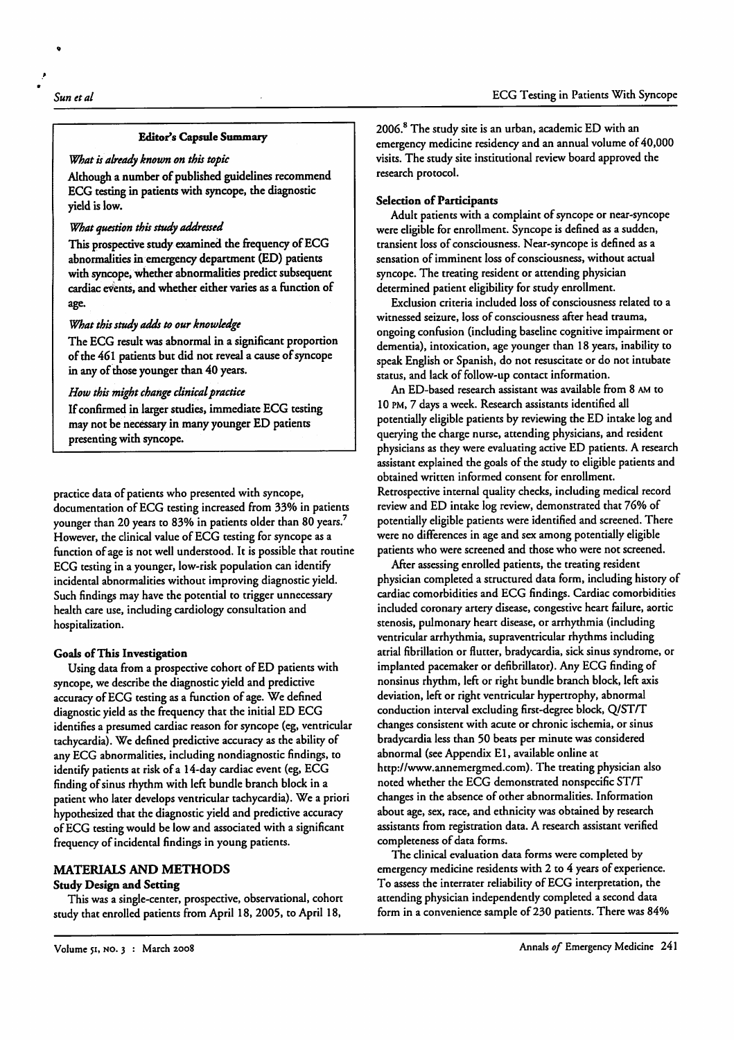### **Sun et al**

#### *Editor's Capsule Summary*

#### **What isalready known onthis topic**

Although a number of published guidelines recommend ECG testing in patients with syncope, the diagnostic vield is low.

#### **What question thisstudy addressed**

This prospective study examined the frequency of ECG abnormalities in emergency department (ED) patients with syncope, whether abnormalities predict subsequent cardiac events, and whether either varies as a function of age.

#### What *this* study adds to our knowledge

The ECG result was abnormal in a significant proportion of the 461 patients but did not reveal a cause of syncope in any of those younger than 40 years.

### **How this might change clinicalpractice**

If confirmed in larger studies, immediate ECG testing may not be necessary in many younger ED patients presenting with syncope.

practice data of patients who presented with syncope, documentation of ECG testing increased from 33% in patients younger than 20 years to 83% in patients older than 80 years.<sup>7</sup> However, the clinical value of ECG testing for syncope as a function of age is not well understood. It is possible that routine ECG testing in a younger, low-risk population canidentify incidental abnormalities without improving diagnostic yield. Such findings may have the potential to trigger unnecessary health care use, including cardiology consultation and hospitalization.

#### *Goals ofThis Investigation*

Using data from a prospective cohort of ED patients with syncope, we describe the diagnostic yield and predictive accuracy of ECG testing as a function of age. We defined diagnostic yield as the frequency that the initial ED ECG identifies a presumed cardiac reason for syncope (eg, ventricular tachycardia). We defined predictive accuracy as the ability of any ECG abnormalities, including nondiagnostic findings, to identify patients at risk of a 14-day cardiac event (eg, ECG finding of sinus rhythm with left bundle branch block in a patient who later develops ventricular tachycardia). We a priori hypothesized that the diagnostic yield and predictive accuracy of ECG testing would be low and associated with a significant frequency of incidental findings in young patients.

#### *MATERIALS AND METHODS*

#### *Study Design and Setting*

This was a single-center, prospective, observational, cohort study that enrolled patients from April 18, 2005, to April 18,

 $2006<sup>8</sup>$  The study site is an urban, academic ED with an emergency medicine residency and an annual volume of 40,000 visits. The study site institutional review board approved the research protocol.

#### **Selection of Participants**

Adult patients with a complaint of syncope or near-syncope were eligible for enrollment. Syncope is defined as a sudden, transient loss of consciousness. Near-syncope is defined as a sensation of imminent loss of consciousness, without actual syncope. The treating resident or attending physician determined patient eligibility for study enrollment.

Exclusion criteria included loss of consciousness related to a witnessed seizure, loss of consciousness after head trauma, ongoing confusion (including baseline cognitive impairment or dementia), intoxication, age younger than 18years, inability to speak English or Spanish, do not resuscitate or do not intubate status, and lack of follow-up contact information.

An ED-based research assistant was available from 8 am to 10 PM, 7 days a week. Research assistants identified all potentially eligible patients by reviewing the ED intake log and querying the charge nurse, attending physicians, and resident physicians as they were evaluating active ED patients. A research assistant explained the goals of the study to eligible patients and obtained written informed consent for enrollment. Retrospective internal quality checks, including medical record review and ED intake log review, demonstrated that 76% of potentially eligible patients were identified and screened. There were no differences in age and sex among potentially eligible patients who were screened and those who were not screened.

After assessing enrolled patients, the treating resident physician completed a structured data form, including history of cardiac comorbidities and ECG findings. Cardiac comorbidities included coronary artery disease, congestive heart failure, aortic stenosis, pulmonary heart disease, or arrhythmia (including ventricular arrhythmia, supraventricular rhythms including atrial fibrillation or flutter, bradycardia, sick sinus syndrome, or implanted pacemaker or defibrillator). Any ECG finding of nonsinus rhythm, left or right bundle branch block, left axis deviation, left or right ventricular hypertrophy, abnormal conduction interval excluding first-degree block, Q/ST/T changes consistent with acute or chronic ischemia, or sinus bradycardia less than 50 beats per minute was considered abnormal (see Appendix E1, available online at http://www.annemergmed.com). The treating physician also noted whether the ECG demonstrated nonspecific ST/T changes in the absence of other abnormalities. Information about age, sex, race, and ethnicity was obtained by research assistants from registration data. A research assistant verified completeness of data forms.

The clinical evaluation data forms were completed by emergency medicine residents with 2 to 4 years of experience. To **assess** the interrater reliability of ECG interpretation, the attending physician independently completed a second data form in a convenience sample of 230 patients. There was 84%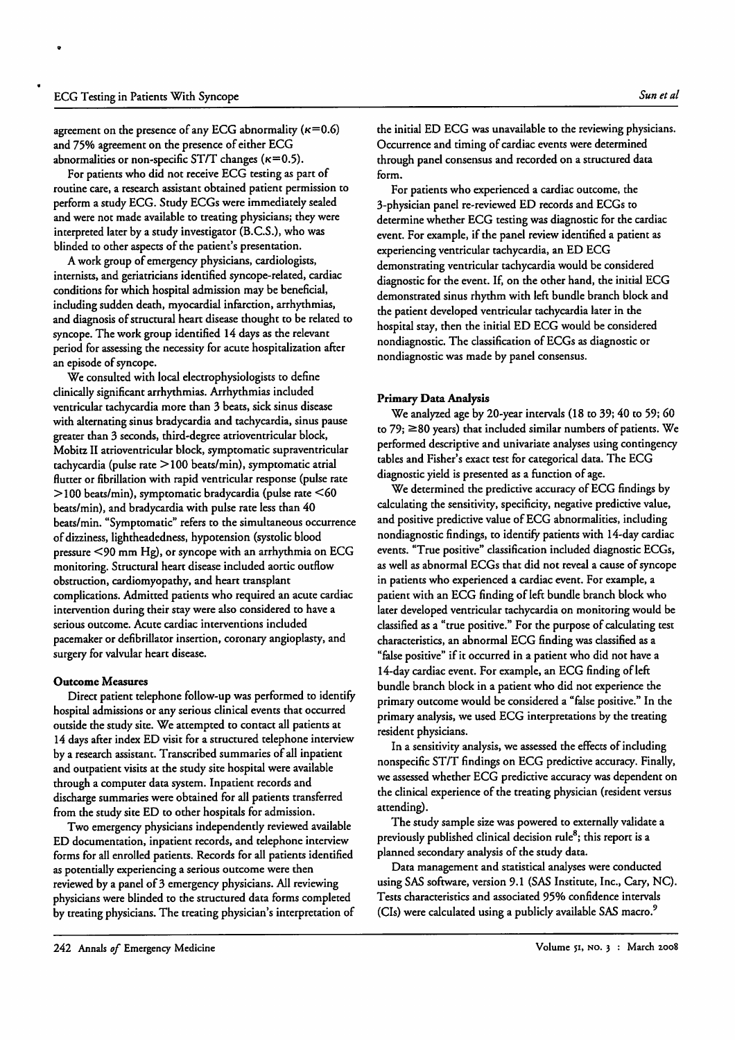agreement on the presence of any ECG abnormality ( $\kappa$ =0.6) and 75% agreement on the presence of either ECG abnormalities or non-specific ST/T changes ( $\kappa$ =0.5).

For patients who did not receive ECG testing as part of routine care, a research assistant obtained patient permission to perform a study ECG. Study ECGs were immediately sealed and were not made available to treating physicians; they were interpreted later by a study investigator (B.C.S.), who was blinded to other aspects of the patient's presentation.

A work group of emergency physicians, cardiologists, internists, and geriatricians identified syncope-related, cardiac conditions forwhich hospital admission may be beneficial, including sudden death, myocardial infarction, arrhythmias, and diagnosis of structural heart disease thought to be related to syncope. The work group identified 14 days as the relevant period for assessing the necessity for acute hospitalization after an episode of syncope.

We consulted with local electrophysiologists to define clinically significant arrhythmias. Arrhythmias included ventricular tachycardia more than 3 beats, sick sinus disease with alternating sinus bradycardia and tachycardia, sinus pause greater than 3 seconds, third-degree atrioventricular block, Mobitz II atrioventricular block, symptomatic supraventricular tachycardia (pulse rate >100 beats/min), symptomatic atrial flutter or fibrillation with rapid ventricular response (pulse rate >100 beats/min), symptomatic bradycardia (pulse rate <60 beats/min), and bradycardia with pulse rate less than 40 beats/min. "Symptomatic" refers to the simultaneous occurrence of dizziness, lightheadedness, hypotension (systolic blood pressure <90 mm Hg), or syncope with an arrhythmia on ECG monitoring. Structural heart disease included aortic outflow obstruction, cardiomyopathy, and heart transplant complications. Admitted patients who required an acute cardiac intervention during their stay were also considered to have a serious outcome. Acute cardiac interventions included pacemaker or defibrillator insertion, coronary angioplasty, and surgery for valvular heart disease.

#### *Outcome Measures*

Direct patient telephone follow-up was performed to identify hospital admissions or anyserious clinical events that occurred outside the study site. We attempted to contact all patients at 14 days after index ED visit for a structured telephone interview bya research assistant. Transcribed summaries of allinpatient and outpatient visits at the study site hospital were available through a computer data system. Inpatient records and discharge summaries were obtained for all patients transferred from the study site ED to other hospitals for admission.

Two emergency physicians independently reviewed available ED documentation, inpatient records, and telephone interview forms for all enrolled patients. Records for all patients identified as potentially experiencing a serious outcome were then reviewed by a panel of 3 emergency physicians. All reviewing physicians were blinded to the structured data forms completed by treating physicians. The treating physician's interpretation of the initial ED ECG was unavailable to the reviewing physicians. Occurrence and timing of cardiac events were determined through panel consensus and recorded on a structured data form.

For patients who experienced a cardiac outcome, the 3-physician panel re-reviewed ED records and ECGs to determine whether ECG testing was diagnostic for the cardiac event. For example, if the panel review identified a patient as experiencing ventricular tachycardia, an ED ECG demonstrating ventricular tachycardia would be considered diagnostic for the event. If, on the other hand, the initial ECG demonstrated sinus rhythm with left bundle branch block and the patient developed ventricular tachycardia later in the hospital stay, then the initial ED ECG would be considered nondiagnostic. The classification of ECGs as diagnostic or nondiagnostic was made by panel consensus.

#### *Primary Data Analysis*

We analyzed age by 20-year intervals (18 to 39; 40 to 59; 60 to 79;  $\geq$ 80 years) that included similar numbers of patients. We performed descriptive and univariate analyses using contingency tables and Fisher's exact test for categorical data. The ECG diagnostic yield is presented as a function of age.

We determined the predictive accuracy of ECG findings by calculating the sensitivity, specificity, negative predictive value, and positive predictive value of ECG abnormalities, including nondiagnostic findings, to identify patients with 14-day cardiac events. "True positive" classification included diagnostic ECGs, as well as abnormal ECGs that did not reveal a cause of syncope in patients who experienced a cardiac event. For example, a patient with an ECG finding of left bundle branch block who later developed ventricular tachycardia on monitoring would be classified asa "true positive." For the purpose of calculating test characteristics, an abnormal ECG finding was classified as a "false positive" if it occurred in a patient who did not have a 14-day cardiac event. For example, an ECG finding of left bundle branch block in a patient who did not experience the primary outcome would be considered a "false positive." In the primary analysis, we used ECG interpretations by the treating resident physicians.

In a sensitivity analysis, we assessed the effects of including nonspecific ST/T findings on ECG predictive accuracy. Finally, we assessed whether ECG predictive accuracy was dependent on the clinical experience of the treating physician (resident versus attending).

The study sample size was powered to externally validate a previously published clinical decision rule<sup>8</sup>; this report is a planned secondary analysis of the study data.

Data management and statistical analyses were conducted using SAS software, version 9.1 (SAS Institute, Inc., Cary, NC). Tests characteristics and associated 95% confidence intervals (CIs) were calculated using a publicly available SAS macro.<sup>9</sup>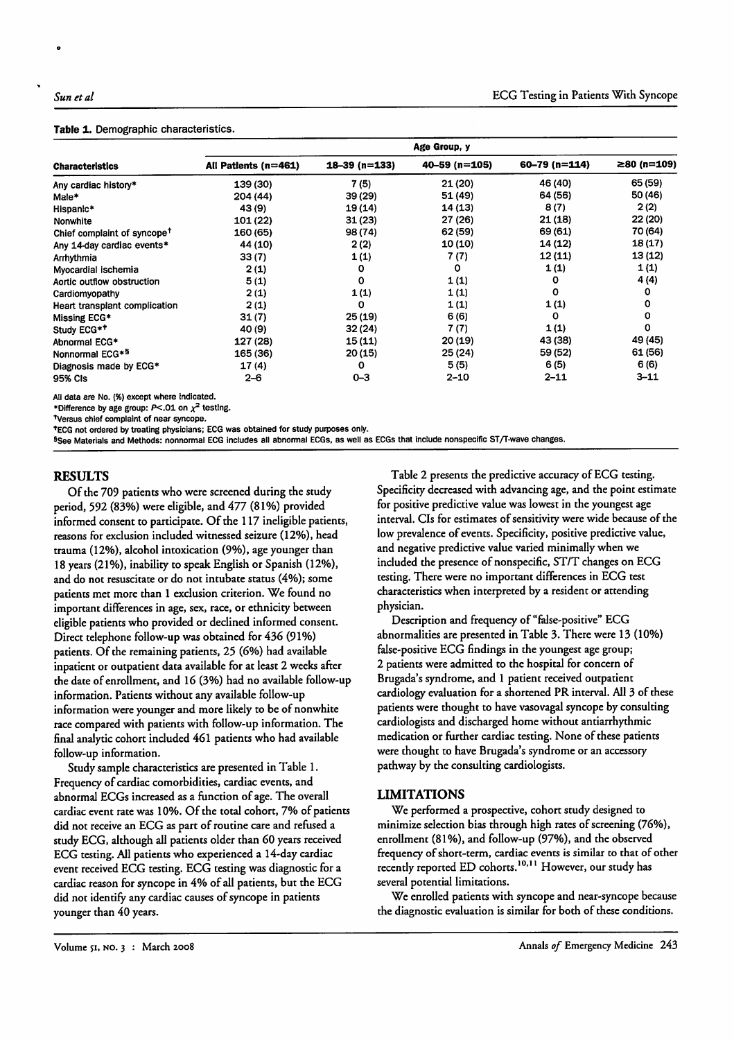#### *Table 1.* Demographic characteristics.

| <b>CharacterIstics</b>                      | Age Group, y           |                 |                   |                 |               |  |  |
|---------------------------------------------|------------------------|-----------------|-------------------|-----------------|---------------|--|--|
|                                             | All Patients $(n=461)$ | $18-39$ (n=133) | $40 - 59$ (n=105) | $60-79$ (n=114) | $≥80$ (n=109) |  |  |
| Any cardiac history*                        | 139 (30)               | 7(5)            | 21(20)            | 46 (40)         | 65 (59)       |  |  |
| Male*                                       | 204 (44)               | 39 (29)         | 51 (49)           | 64 (56)         | 50 (46)       |  |  |
| Hispanic*                                   | 43 (9)                 | 19 (14)         | 14(13)            | 8(7)            | 2(2)          |  |  |
| Nonwhite                                    | 101 (22)               | 31(23)          | 27 (26)           | 21(18)          | 22 (20)       |  |  |
| Chief complaint of syncope <sup>†</sup>     | 160 (65)               | 98 (74)         | 62 (59)           | 69 (61)         | 70 (64)       |  |  |
| Any 14-day cardiac events*                  | 44 (10)                | 2(2)            | 10 (10)           | 14 (12)         | 18 (17)       |  |  |
| Arrhythmia                                  | 33(7)                  | 1(1)            | 7(7)              | 12 (11)         | 13 (12)       |  |  |
| Myocardial ischemia                         | 2(1)                   | 0               | 0                 | 1(1)            | 1(1)          |  |  |
| Aortic outflow obstruction                  | 5(1)                   | 0               | 1(1)              | 0               | 4(4)          |  |  |
| Cardiomyopathy                              | 2 (1)                  | 1(1)            | 1(1)              | O               | 0             |  |  |
| Heart transplant complication               | 2(1)                   | 0               | 1(1)              | 1(1)            | 0             |  |  |
| Missing ECG*                                | 31(7)                  | 25(19)          | 6 (6)             | O               | 0             |  |  |
| Study ECG* <sup>+</sup>                     | 40 (9)                 | 32(24)          | 7 (7)             | 1(1)            | 0             |  |  |
| Abnormal ECG*                               | 127 (28)               | 15(11)          | 20(19)            | 43 (38)         | 49 (45)       |  |  |
| Nonnormal ECG <sup>*5</sup>                 | 165 (36)               | 20(15)          | 25(24)            | 59 (52)         | 61 (56)       |  |  |
| Diagnosis made by ECG*                      | 17(4)                  | 0               | 5(5)              | 6(5)            | 6(6)          |  |  |
| 95% CIs                                     | $2 - 6$                | $0 - 3$         | $2 - 10$          | $2 - 11$        | $3 - 11$      |  |  |
| hetsaibni ara No. (%) avent whara indicated |                        |                 |                   |                 |               |  |  |

All data are No. (%) except where indicated.

\*Difference by age group: P<.01 on  $\chi^2$  testing. Versus chief complaint of near syncope.

\*ECG not ordered by treating physicians; ECG was obtained for study purposes only.

sSee Materials and Methods: nonnormal ECG includes all abnormal ECGs, as well as ECGs that include nonspecific ST/T-wave changes.

#### *RESULTS*

Of the 709 patients who were screened during the study period, 592 (83%) were eligible, and 477 (81%) provided informed consent to participate. Of the 117 ineligible patients, reasons for exclusion included witnessed seizure (12%), head trauma (12%), alcohol intoxication (9%), age younger than 18years (21%), inability to speak English or Spanish (12%), and do not resuscitate or do not intubate status (4%); some patients met more than 1 exclusion criterion. We found no important differences in age, sex, race, or ethnicity between eligible patients who provided or declined informed consent. Direct telephone follow-up was obtained for 436 (91%) patients. Of the remaining patients, 25 (6%) had available inpatient or outpatient data available for at least 2 weeks after the date of enrollment, and 16 (3%) had no available follow-up information. Patients without any available follow-up information were younger and more likely to be of nonwhite race compared with patients with follow-up information. The final analytic cohort included 461 patients whohadavailable follow-up information.

Study sample characteristics are presented in Table 1. Frequency of cardiac comorbidities, cardiac events, and abnormal ECGs increased as a function of age. The overall cardiac event rate was 10%. Of the total cohort, 7% of patients did not receive an ECG as part of routine care and refused a study ECG, although all patients older than 60 years received ECG testing. All patients who experienced a 14-day cardiac event received ECG testing. ECG testing was diagnostic for a cardiac reason for syncope in 4% of all patients, but the ECG did not identify any cardiac causes of syncope in patients younger than 40 years.

Table 2 presents the predictive accuracy of ECG testing. Specificity decreased with advancing age, and the point estimate for positive predictive value was lowest in the youngest age interval. CIs for estimates of sensitivity were wide because of the low prevalence of events. Specificity, positive predictive value, and negative predictive value varied minimally when we included the presence of nonspecific, ST/T changes on ECG testing. There were no important differences in ECG test characteristics when interpreted by a resident or attending physician.

Description and frequency of "false-positive" ECG abnormalities are presented in Table 3. There were 13 (10%) false-positive ECG findings in the youngest age group; 2 patients were admitted to the hospital for concern of Brugada's syndrome, and 1 patient received outpatient cardiology evaluation for a shortened PR interval. All 3 of these patients were thought to have vasovagal syncope by consulting cardiologists and discharged home without antiarrhythmic medication or further cardiac testing. None of these patients were thought to have Brugada's syndrome or an accessory pathway by the consulting cardiologists.

### *LIMITATIONS*

We performed a prospective, cohort study designed to minimize selection bias through high rates of screening (76%), enrollment (81%), and follow-up (97%), and the observed frequency of short-term, cardiac events is similar to that of other recently reported ED cohorts.<sup>10,11</sup> However, our study has several potential limitations.

We enrolled patients with syncope and near-syncope because the diagnostic evaluation is similar for both of these conditions.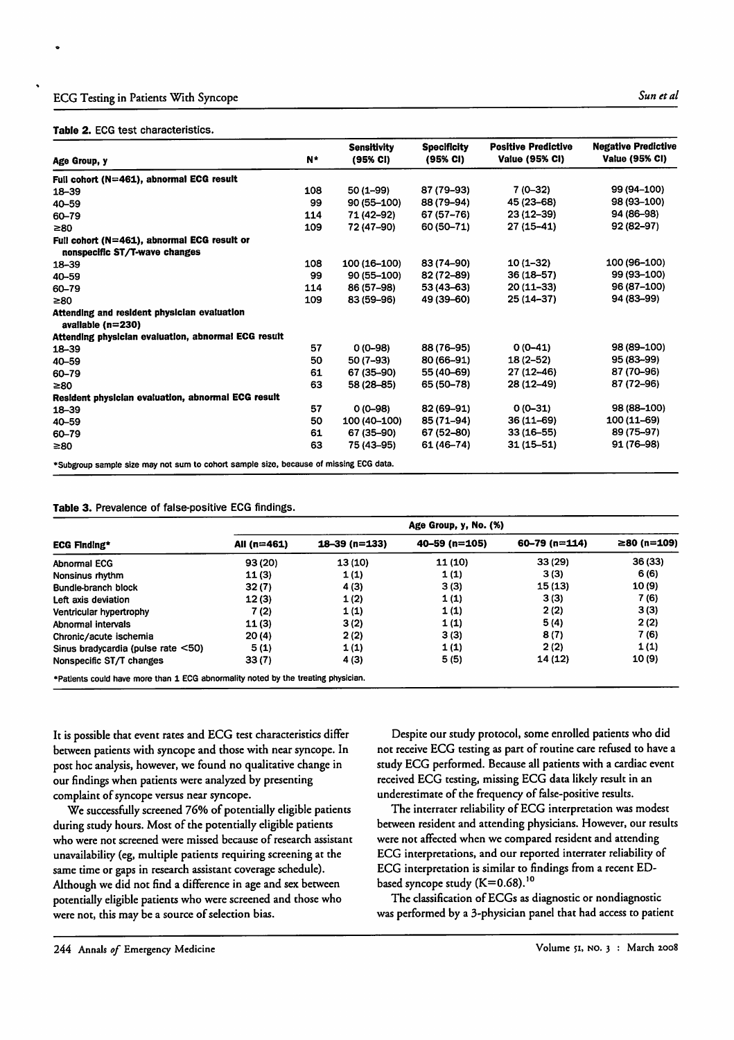## ECGTesting in Patients With Syncope **Sun et al**

#### *Table* 2. ECG test characteristics.

| Age Group, y                                                                          | $N^*$ | <b>Sensitivity</b><br>(95% CI) | <b>Specificity</b><br>(95% CI) | <b>Positive Predictive</b><br><b>Value (95% CI)</b> | <b>Negative Predictive</b><br><b>Value (95% CI)</b> |
|---------------------------------------------------------------------------------------|-------|--------------------------------|--------------------------------|-----------------------------------------------------|-----------------------------------------------------|
|                                                                                       |       |                                |                                |                                                     |                                                     |
| Full cohort (N=461), abnormal ECG result                                              |       |                                |                                | $7(0-32)$                                           | 99 (94-100)                                         |
| 18-39                                                                                 | 108   | 50 (1-99)                      | 87 (79-93)                     |                                                     |                                                     |
| 40-59                                                                                 | 99    | 90 (55-100)                    | 88 (79-94)                     | 45 (23-68)                                          | 98 (93-100)                                         |
| 60-79                                                                                 | 114   | 71 (42-92)                     | 67 (57–76)                     | $23(12-39)$                                         | 94 (86-98)                                          |
| $\geq 80$                                                                             | 109   | 72 (47–90)                     | 60 (50-71)                     | 27 (15-41)                                          | 92 (82-97)                                          |
| Full cohort (N=461), abnormal ECG result or<br>nonspecific ST/T-wave changes          |       |                                |                                |                                                     |                                                     |
| 18-39                                                                                 | 108   | 100 (16-100)                   | 83 (74-90)                     | $10(1-32)$                                          | 100 (96-100)                                        |
| 40-59                                                                                 | 99    | 90 (55-100)                    | 82 (72–89)                     | $36(18 - 57)$                                       | 99 (93-100)                                         |
| 60-79                                                                                 | 114   | 86 (57–98)                     | 53 (43 - 63)                   | $20(11-33)$                                         | 96 (87-100)                                         |
| $\geq 80$                                                                             | 109   | 83 (59-96)                     | 49 (39-60)                     | 25 (14-37)                                          | 94 (83-99)                                          |
| Attending and resident physician evaluation<br>available $(n=230)$                    |       |                                |                                |                                                     |                                                     |
| Attending physician evaluation, abnormal ECG result                                   |       |                                |                                |                                                     |                                                     |
| 18-39                                                                                 | 57    | $0(0-98)$                      | 88 (76-95)                     | $0(0-41)$                                           | 98 (89-100)                                         |
| $40 - 59$                                                                             | 50    | $50(7-93)$                     | 80 (66-91)                     | $18(2 - 52)$                                        | 95 (83-99)                                          |
| 60-79                                                                                 | 61    | 67 (35-90)                     | 55 (40-69)                     | $27(12-46)$                                         | 87 (70-96)                                          |
| $\geq 80$                                                                             | 63    | 58 (28 - 85)                   | 65 (50-78)                     | 28 (12-49)                                          | 87 (72-96)                                          |
| Resident physician evaluation, abnormal ECG result                                    |       |                                |                                |                                                     |                                                     |
| 18-39                                                                                 | 57    | $0(0-98)$                      | 82 (69-91)                     | $0(0-31)$                                           | 98 (88-100)                                         |
| 40-59                                                                                 | 50    | 100 (40-100)                   | 85 (71-94)                     | $36(11-69)$                                         | $100(11-69)$                                        |
| 60-79                                                                                 | 61    | 67 (35-90)                     | 67 (52–80)                     | $33(16 - 55)$                                       | 89 (75-97)                                          |
| ≥80                                                                                   | 63    | 75 (43-95)                     | 61 (46-74)                     | $31(15 - 51)$                                       | 91 (76-98)                                          |
| *Subgroup sample size may not sum to cohort sample size, because of missing ECG data. |       |                                |                                |                                                     |                                                     |

#### *Table* 3. Prevalence of false-positive ECG findings.

|                                                                                   | Age Group, y, No. (%) |                 |                   |                   |                   |  |  |  |
|-----------------------------------------------------------------------------------|-----------------------|-----------------|-------------------|-------------------|-------------------|--|--|--|
| <b>ECG Finding*</b>                                                               | All (n=461)           | $18-39$ (n=133) | $40 - 59$ (n=105) | $60 - 79$ (n=114) | $\geq 80$ (n=109) |  |  |  |
| <b>Abnomal ECG</b>                                                                | 93 (20)               | 13(10)          | 11(10)            | 33(29)            | 36(33)            |  |  |  |
| Nonsinus rhythm                                                                   | 11(3)                 | 1(1)            | 1(1)              | 3(3)              | 6 (6)             |  |  |  |
| Bundle-branch block                                                               | 32(7)                 | 4 (3)           | 3(3)              | 15(13)            | 10 (9)            |  |  |  |
| Left axis deviation                                                               | 12(3)                 | 1(2)            | 1(1)              | 3(3)              | 7 (6)             |  |  |  |
| Ventricular hypertrophy                                                           | 7 (2)                 | 1(1)            | 1(1)              | 2(2)              | 3(3)              |  |  |  |
| Abnormal intervals                                                                | 11(3)                 | 3(2)            | 1(1)              | 5(4)              | 2(2)              |  |  |  |
| Chronic/acute ischemia                                                            | 20 (4)                | 2(2)            | 3(3)              | 8(7)              | 7(6)              |  |  |  |
| Sinus bradycardia (pulse rate $\leq$ 50)                                          | 5(1)                  | 1(1)            | 1(1)              | 2(2)              | 1(1)              |  |  |  |
| Nonspecific ST/T changes                                                          | 33(7)                 | 4 (3)           | 5(5)              | 14 (12)           | 10 (9)            |  |  |  |
| *Patients could have more than 1 ECG abnormality noted by the treating physician. |                       |                 |                   |                   |                   |  |  |  |

It is possible that event rates and ECG test characteristics differ between patients with syncope and those with near syncope. In post hoc analysis, however, we found no qualitative change in our findings when patients were analyzed by presenting complaint of syncope versus near syncope.

We successfully screened 76% of potentially eligible patients during study hours. Most of the potentially eligible patients who were not screened were missed because of research assistant unavailability (eg, multiple patients requiring screening at the same time or gaps in research assistant coverage schedule). Although we did not find a difference in age and sex between potentially eligible patients who were screened and those who were not, this may be a source of selection bias.

Despite our study protocol, some enrolled patients who did not receive ECG testing as part of routine care refused to have a study ECG performed. Because all patients with a cardiac event received ECG testing, missing ECG data likely result in an underestimate of the frequency of false-positive results.

The interrater reliability of ECG interpretation was modest between resident and attending physicians. However, our results were not affected when we compared resident and attending ECG interpretations, and our reported interrater reliability of ECG interpretation is similar to findings from a recent EDbased syncope study (K=0.68).<sup>10</sup>

The classification of ECGs as diagnostic or nondiagnostic was performed by a 3-physician panel that had access to patient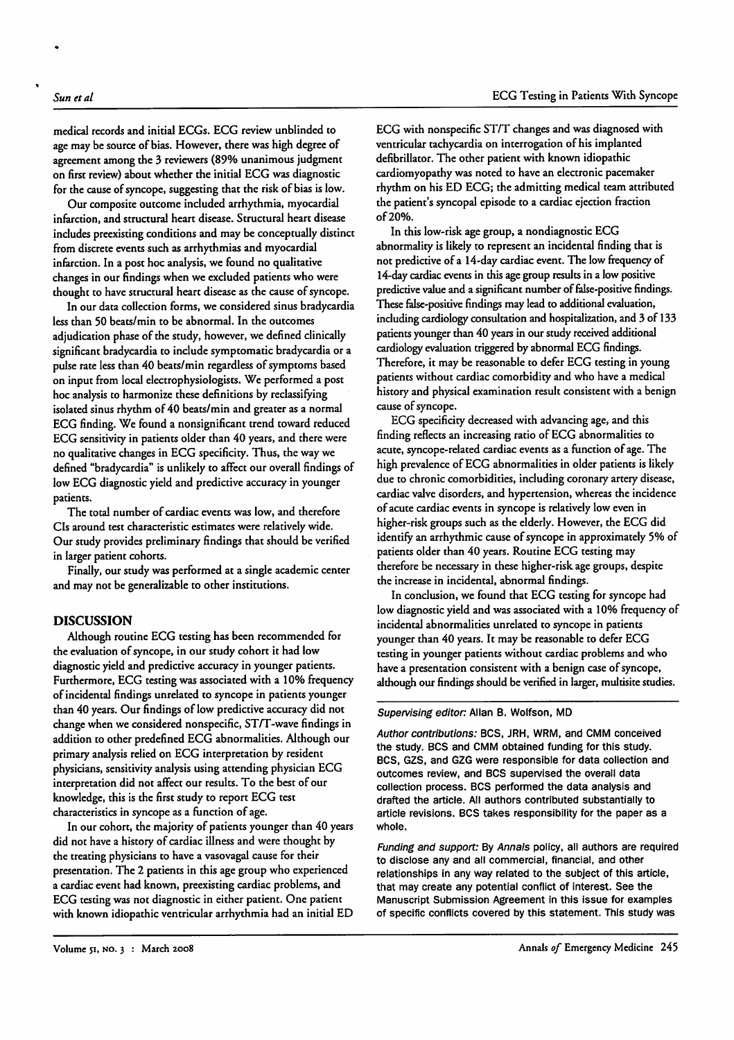### **Sun et al**

medical records and initial ECGs. ECG review unblinded to age may be source of bias. However, there was high degree of agreement among the 3 reviewers (89% unanimous judgment on first review) about whether the initial ECG was diagnostic for the cause of syncope, suggesting that the risk of bias is low.

Our composite outcome included arrhythmia, myocardial infarction, and structural heart disease. Structural heart disease includes preexisting conditions and may be conceptually distinct from discrete events such as arrhythmias and myocardial infarction. In a post hoc analysis, we found no qualitative changes in our findings when we excluded patients who were thought to have structural heart disease as the cause of syncope.

In our data collection forms, we considered sinus bradycardia less than 50 beats/min to be abnormal. In the outcomes adjudication phase of the study, however, we defined clinically significant bradycardia to include symptomatic bradycardia or a pulse rate less than 40 beats/min regardless of symptoms based on input from local electrophysiologists. We performed a post hoc analysis to harmonize these definitions by reclassifying isolated sinus rhythm of 40 beats/min and greater as a normal ECG finding. We found a nonsignificant trend toward reduced ECG sensitivity in patients older than 40 years, and there were no qualitative changes in ECG specificity. Thus, the way we defined "bradycardia" is unlikely to affect our overall findings of low ECG diagnostic yield and predictive accuracy in younger patients.

The total number of cardiac events was low, and therefore CIs around test characteristic estimates were relatively wide. Our study provides preliminary findings that should be verified in larger patient cohorts.

Finally, our studywas performed at a single academic center and may not be generalizable to other institutions.

#### *DISCUSSION*

Although routine ECG testing has been recommended for the evaluation of syncope, in our study cohort it had low diagnostic yield and predictive accuracy in younger patients. Furthermore, ECG testing was associated with a 10% frequency of incidental findings unrelated to syncope in patients younger than 40 years. Our findings of low predictive accuracy did not change when we considered nonspecific, ST/T-wave findings in addition to other predefined ECG abnormalities. Although our primary analysis relied on ECG interpretation by resident physicians, sensitivity analysis using attending physician ECG interpretation did not affect our results. To the best of our knowledge, this is the first study to report ECG test characteristics in syncope as a function of age.

In our cohort, the majority of patients younger than 40 years did not have a history of cardiac illness and were thought by the treating physicians to have a vasovagal cause for their presentation. The 2 patients in this age group who experienced a cardiac event had known, preexisting cardiac problems, and ECG testing was not diagnostic in either patient. One patient with known idiopathic ventricular arrhythmia had an initial ED

ECG with nonspecific ST/T changes and was diagnosed with ventricular tachycardia on interrogation of his implanted defibrillator. The other patient with known idiopathic cardiomyopathy was noted to have an electronic pacemaker rhythm on hisED ECG; the admitting medical team attributed the patient's syncopal episode to a cardiac ejection fraction of20%.

In this low-risk age group, a nondiagnostic ECG abnormality is likely to represent an incidental finding that is not predictive of a 14-day cardiac event. The low frequency of 14-day cardiac events in this age group results in a low positive predictive value and a significant number of false-positive findings. These false-positive findings may lead to additional evaluation, including cardiology consultation and hospitalization, and 3 of 133 patients younger than 40 years in our study received additional cardiology evaluation triggered by abnormal ECG findings. Therefore, it may be reasonable to defer ECG testing in young patients without cardiac comorbidity and who have a medical history and physical examination result consistent with a benign cause of syncope.

ECG specificity decreased with advancing age, and this finding reflects an increasing ratio of ECG abnormalities to acute, syncope-related cardiac events as a function of age. The high prevalence of ECG abnormalities in older patients is likely due to chronic comorbidities, including coronary artery disease, cardiac valve disorders, and hypertension, whereas the incidence of acute cardiac events in syncope is relatively low even in higher-risk groups such as the elderly. However, the ECG did identify an arrhythmic cause of syncope in approximately 5% of patients older than 40 years. Routine ECG testing may therefore be necessary in these higher-risk age groups, despite the increase in incidental, abnormal findings.

In conclusion, we found that ECG testing for syncope had low diagnostic yield and was associated with a 10% frequency of incidental abnormalities unrelated to syncope in patients younger than 40 years. It may be reasonable to defer ECG testing in younger patients without cardiac problems and who have a presentation consistent with a benign case of syncope, although our findings should be verified in larger, multisite studies.

#### **Supervising editor:** Allan B. Wolfson, MD

**Author contributions:** BCS, JRH, WRM, and CMM conceived the study. BCS and CMM obtained funding for this study. BCS, GZS, and GZG were responsible for data collection and outcomes review, and BCS supervised the overall data collection process. BCS performed the data analysis and drafted the article. All authors contributed substantially to article revisions. BCS takes responsibility for the paper as a whole.

**Funding and support:** By **Annals** policy, all authors are required to disclose any and all commercial, financial, and other relationships in any way related to the subject of this article, that may create any potential conflict of interest. See the Manuscript Submission Agreement in this issue for examples of specific conflicts covered by this statement. This study was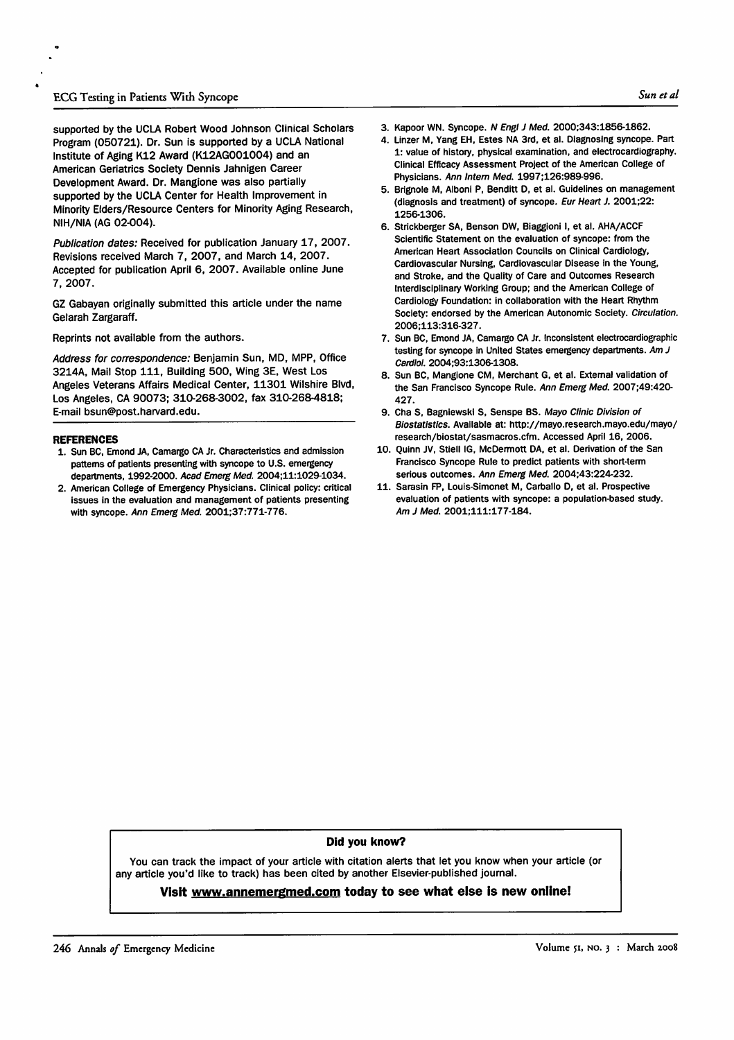#### ECGTesting in Patients With Syncope

supported by the UCLA Robert Wood Johnson Clinical Scholars Program (050721). Dr. Sun is supported by a UCLA National Institute of Aging K12 Award (K12AG001004) and an American Geriatrics Society Dennis Jahnigen Career Development Award. Dr. Mangione was also partially supported by the UCLA Center for Health Improvement in Minority Elders/Resource Centers for Minority Aging Research, NIH/NIA (AG 02-004).

**Publication dates:** Received for publication January 17, 2007. Revisions received March 7, 2007, and March 14, 2007. Accepted for publication April 6, 2007. Available online June 7, 2007.

GZ Gabayan originally submitted this article under the name Gelarah Zargaraff.

Reprints not available from the authors.

**Address for correspondence:** Benjamin Sun, MD, MPP, Office 3214A, Mail Stop 111, Building 500, Wing 3E, West Los Angeles Veterans Affairs Medical Center, 11301 Wilshire Blvd. Los Angeles, CA 90073; 310-268-3002, fax 310-268-4818; E-mail bsun@post.harvard.edu.

#### *REFERENCES*

- 1. Sun BC, Emond JA, Camargo CAJr. Characteristics and admission patterns of patients presenting with syncope to U.S. emergency departments, 1992-2000. **Acad EmergMed.** 2004;11:1029-1034.
- 2. American College of Emergency Physicians. Clinical policy: critical issues in the evaluation and management of patients presenting with syncope. **Ann Emerg Med.** 2001;37:771-776.
- 3. Kapoor WN. Syncope. *N Engl J Med.* 2000;343:1856-1862.
- Linzer M, Yang EH, Estes NA 3rd, et al. Diagnosing syncope. Part 1: value of history, physical examination, and electrocardiography. Clinical Efficacy Assessment Project of the American College of Physicians. **Ann Intern Med.** 1997;126:989-996.
- Brignole M, Alboni P, Benditt D, et al. Guidelines on management (diagnosis and treatment) of syncope. *Eur Heart J.* 2001;22: 1256-1306.
- Strickberger SA, Benson DW, Biaggioni I, et al. AHA/ACCF Scientific Statement on the evaluation of syncope: from the American Heart Association Councils on Clinical Cardiology, Cardiovascular Nursing, Cardiovascular Disease in the Young, and Stroke, and the Quality of Care and Outcomes Research Interdisciplinary Working Group; and the American College of Cardiology Foundation: in collaboration with the Heart Rhythm Society: endorsed by the American Autonomic Society. **Circulation.** 2006;113:316-327.
- 7. Sun BC, Emond JA, Camargo CA Jr. Inconsistent electrocardiographic testing for syncope in United States emergency departments. **Am J Cardiol.** 2004;93:1306-1308.
- 8. Sun BC, Mangione CM, Merchant G, et al. External validation of the San Francisco Syncope Rule. **Ann Emerg Med.** 2007;49:42O-427.
- Cha S, Bagniewski S, Senspe BS. **Mayo Clinic Division of Biostatlstics.** Available at: http://mayo.research.mayo.edu/mayo/ research/biostat/sasmacros.cfm. Accessed April 16, 2006.
- 10. Quinn JV, Stiell IG, McDermott DA, et al. Derivation of the San Francisco Syncope Rule to predict patients with short-term serious outcomes. **Ann Emerg Med.** 2004;43:224-232.
- 11. Sarasin FP, Louis-Simonet M, Carballo D, et al. Prospective evaluation of patients with syncope: a population-based study. **Am J Med.** 2001;111:177-184.

#### *Did you know?*

You can track the impact of your article with citation alerts that let you know when your article (or any article you'd like to track) has been cited by another Elsevier-published journal.

#### *Visit www.annemergmed.com today to see what else is new online!*